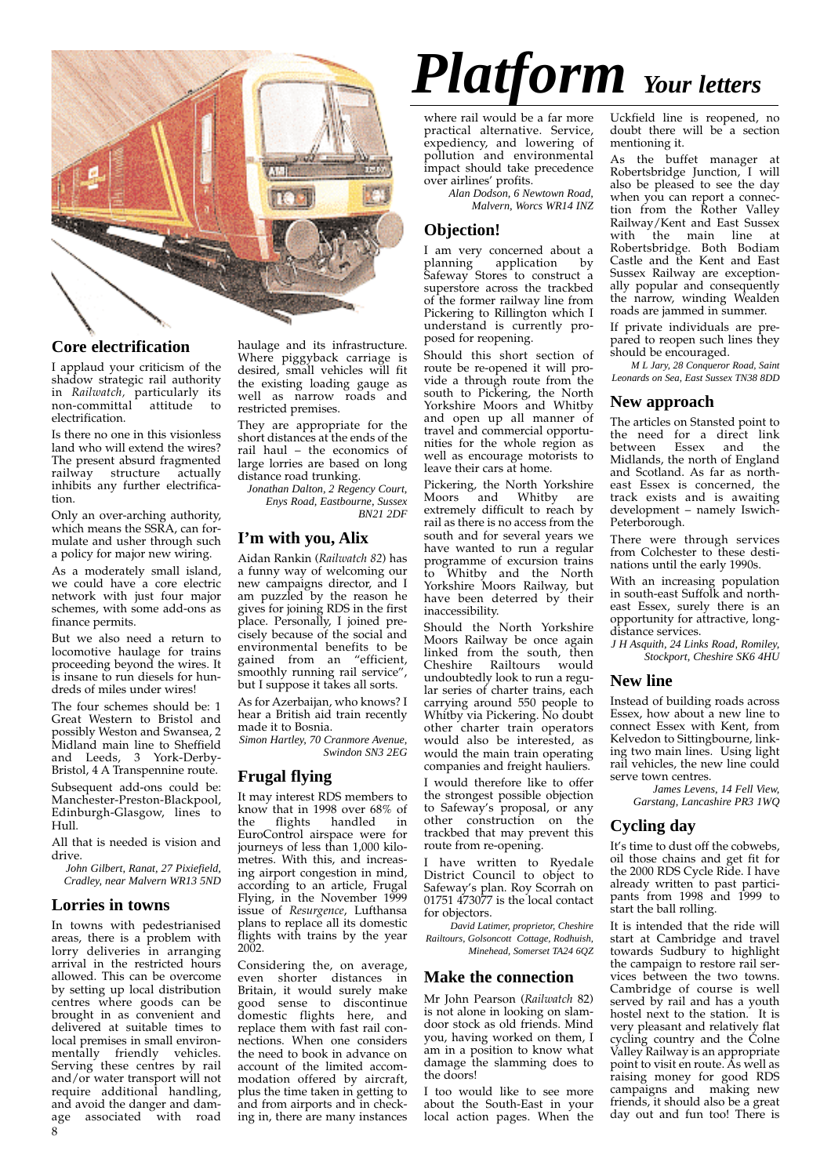

### **Core electrification**

I applaud your criticism of the shadow strategic rail authority in *Railwatch,* particularly its non-committal attitude to electrification.

Is there no one in this visionless land who will extend the wires? The present absurd fragmented railway structure actually inhibits any further electrification.

Only an over-arching authority, which means the SSRA, can formulate and usher through such a policy for major new wiring.

As a moderately small island, we could have a core electric network with just four major schemes, with some add-ons as finance permits.

But we also need a return to locomotive haulage for trains proceeding beyond the wires. It is insane to run diesels for hundreds of miles under wires!

The four schemes should be: 1 Great Western to Bristol and possibly Weston and Swansea, 2 Midland main line to Sheffield and Leeds, 3 York-Derby-Bristol, 4 A Transpennine route. Subsequent add-ons could be: Manchester-Preston-Blackpool, Edinburgh-Glasgow, lines to  $H<sub>11</sub>$ 

All that is needed is vision and drive.

*John Gilbert, Ranat, 27 Pixiefield, Cradley, near Malvern WR13 5ND*

#### **Lorries in towns**

In towns with pedestrianised areas, there is a problem with lorry deliveries in arranging arrival in the restricted hours allowed. This can be overcome by setting up local distribution centres where goods can be brought in as convenient and delivered at suitable times to local premises in small environmentally friendly vehicles. Serving these centres by rail and/or water transport will not require additional handling, and avoid the danger and damage associated with road  $\Omega$ 

haulage and its infrastructure. Where piggyback carriage is desired, small vehicles will fit the existing loading gauge as well as narrow roads and restricted premises.

They are appropriate for the short distances at the ends of the rail haul – the economics of large lorries are based on long distance road trunking.

*Jonathan Dalton, 2 Regency Court, Enys Road, Eastbourne, Sussex BN21 2DF*

#### **I'm with you, Alix**

Aidan Rankin (*Railwatch 82*) has a funny way of welcoming our new campaigns director, and I am puzzled by the reason he gives for joining RDS in the first place. Personally, I joined precisely because of the social and environmental benefits to be gained from an "efficient, smoothly running rail service", but I suppose it takes all sorts.

As for Azerbaijan, who knows? I hear a British aid train recently made it to Bosnia.

*Simon Hartley, 70 Cranmore Avenue, Swindon SN3 2EG*

#### **Frugal flying**

It may interest RDS members to know that in 1998 over 68% of flights handled in EuroControl airspace were for journeys of less than 1,000 kilometres. With this, and increasing airport congestion in mind, according to an article, Frugal Flying, in the November 1999 issue of *Resurgence*, Lufthansa plans to replace all its domestic flights with trains by the year 2002.

Considering the, on average, even shorter distances in Britain, it would surely make good sense to discontinue domestic flights here, and replace them with fast rail connections. When one considers the need to book in advance on account of the limited accommodation offered by aircraft, plus the time taken in getting to and from airports and in checking in, there are many instances

# *Platform Your letters*

where rail would be a far more practical alternative. Service, expediency, and lowering of pollution and environmental impact should take precedence over airlines' profits.

*Alan Dodson, 6 Newtown Road, Malvern, Worcs WR14 INZ*

# **Objection!**

I am very concerned about a planning application by Safeway Stores to construct a superstore across the trackbed of the former railway line from Pickering to Rillington which I understand is currently proposed for reopening.

Should this short section of route be re-opened it will provide a through route from the south to Pickering, the North Yorkshire Moors and Whitby and open up all manner of travel and commercial opportunities for the whole region as well as encourage motorists to leave their cars at home.

Pickering, the North Yorkshire Moors and Whitby are extremely difficult to reach by rail as there is no access from the south and for several years we have wanted to run a regular programme of excursion trains to Whitby and the North Yorkshire Moors Railway, but have been deterred by their inaccessibility.

Should the North Yorkshire Moors Railway be once again linked from the south, then Cheshire Railtours would undoubtedly look to run a regular series of charter trains, each carrying around 550 people to Whitby via Pickering. No doubt other charter train operators would also be interested, as would the main train operating companies and freight hauliers.

I would therefore like to offer the strongest possible objection to Safeway's proposal, or any other construction on the trackbed that may prevent this route from re-opening.

I have written to Ryedale District Council to object to Safeway's plan. Roy Scorrah on 01751 473077 is the local contact for objectors.

*David Latimer, proprietor, Cheshire Railtours, Golsoncott Cottage, Rodhuish, Minehead, Somerset TA24 6QZ*

#### **Make the connection**

Mr John Pearson (*Railwatch* 82) is not alone in looking on slamdoor stock as old friends. Mind you, having worked on them, I am in a position to know what damage the slamming does to the doors!

I too would like to see more about the South-East in your local action pages. When the

Uckfield line is reopened, no doubt there will be a section mentioning it.

As the buffet manager at Robertsbridge Junction, I will also be pleased to see the day when you can report a connection from the Rother Valley Railway/Kent and East Sussex<br>with the main line at the main line at Robertsbridge. Both Bodiam Castle and the Kent and East Sussex Railway are exceptionally popular and consequently the narrow, winding Wealden roads are jammed in summer.

If private individuals are prepared to reopen such lines they should be encouraged.

*M L Jary, 28 Conqueror Road, Saint Leonards on Sea, East Sussex TN38 8DD*

#### **New approach**

The articles on Stansted point to the need for a direct link<br>between Essex and the between Essex and the Midlands, the north of England and Scotland. As far as northeast Essex is concerned, the track exists and is awaiting development – namely Iswich-Peterborough.

There were through services from Colchester to these destinations until the early 1990s.

With an increasing population in south-east Suffolk and northeast Essex, surely there is an opportunity for attractive, longdistance services.

*J H Asquith, 24 Links Road, Romiley, Stockport, Cheshire SK6 4HU*

#### **New line**

Instead of building roads across Essex, how about a new line to connect Essex with Kent, from Kelvedon to Sittingbourne, linking two main lines. Using light rail vehicles, the new line could serve town centres.

> *James Levens, 14 Fell View, Garstang, Lancashire PR3 1WQ*

#### **Cycling day**

It's time to dust off the cobwebs, oil those chains and get fit for the 2000 RDS Cycle Ride. I have already written to past participants from 1998 and 1999 to start the ball rolling.

It is intended that the ride will start at Cambridge and travel towards Sudbury to highlight the campaign to restore rail services between the two towns. Cambridge of course is well served by rail and has a youth hostel next to the station. It is very pleasant and relatively flat cycling country and the Colne Valley Railway is an appropriate point to visit en route. As well as raising money for good RDS campaigns and making new friends, it should also be a great day out and fun too! There is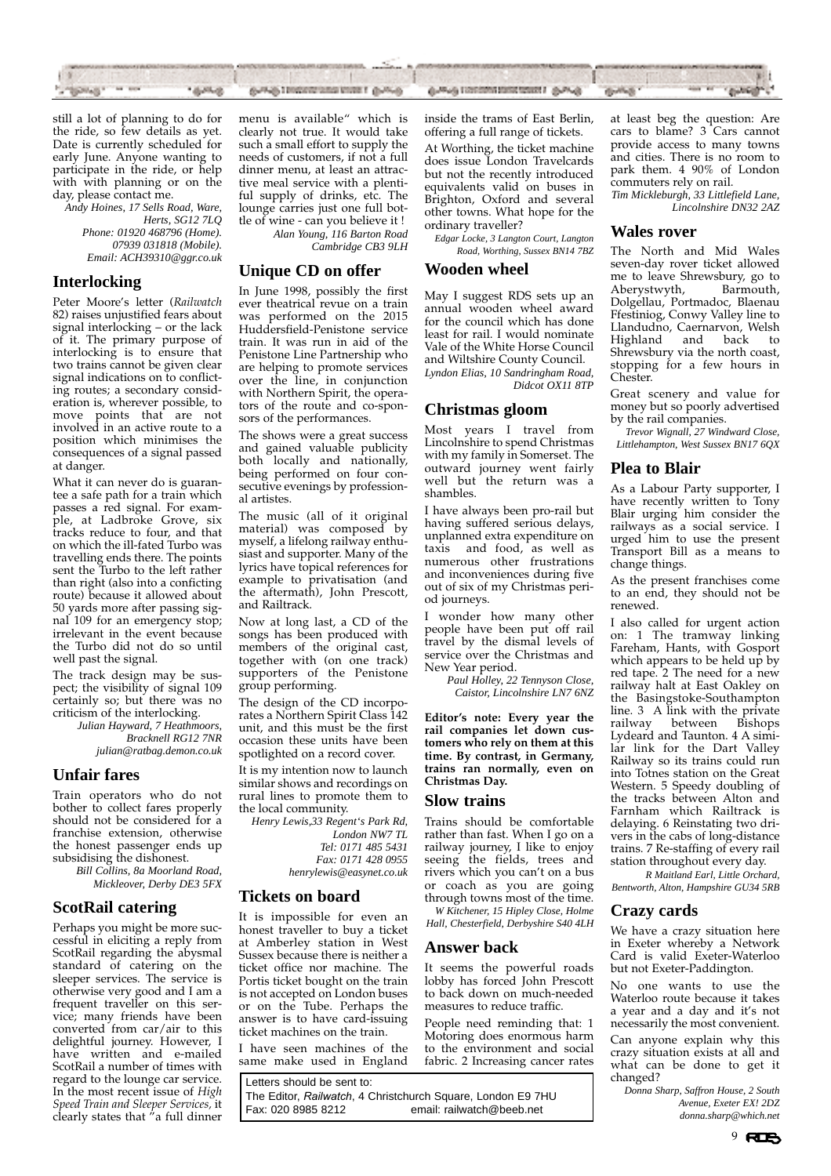

still a lot of planning to do for the ride, so few details as yet. Date is currently scheduled for early June. Anyone wanting to participate in the ride, or help with with planning or on the day, please contact me.

*Andy Hoines, 17 Sells Road, Ware, Herts, SG12 7LQ Phone: 01920 468796 (Home). 07939 031818 (Mobile). Email: ACH39310@ggr.co.uk*

#### **Interlocking**

Peter Moore's letter (*Railwatch* 82) raises unjustified fears about signal interlocking - or the lack of it. The primary purpose of interlocking is to ensure that two trains cannot be given clear signal indications on to conflicting routes; a secondary consideration is, wherever possible, to move points that are not involved in an active route to a position which minimises the consequences of a signal passed at danger.

What it can never do is guarantee a safe path for a train which passes a red signal. For example, at Ladbroke Grove, six tracks reduce to four, and that on which the ill-fated Turbo was travelling ends there. The points sent the Turbo to the left rather than right (also into a conficting route) because it allowed about 50 yards more after passing signal 109 for an emergency stop; irrelevant in the event because the Turbo did not do so until well past the signal.

The track design may be suspect; the visibility of signal 109 certainly so; but there was no criticism of the interlocking.

*Julian Hayward, 7 Heathmoors, Bracknell RG12 7NR*

*julian@ratbag.demon.co.uk*

# **Unfair fares**

Train operators who do not bother to collect fares properly should not be considered for a franchise extension, otherwise the honest passenger ends up subsidising the dishonest.

*Bill Collins, 8a Moorland Road, Mickleover, Derby DE3 5FX*

# **ScotRail catering**

Perhaps you might be more successful in eliciting a reply from ScotRail regarding the abysmal standard of catering on the sleeper services. The service is otherwise very good and I am a frequent traveller on this service; many friends have been converted from car/air to this delightful journey. However, I have written and e-mailed ScotRail a number of times with regard to the lounge car service. In the most recent issue of *High Speed Train and Sleeper Services,* it clearly states that "a full dinner

menu is available" which is clearly not true. It would take such a small effort to supply the needs of customers, if not a full dinner menu, at least an attractive meal service with a plentiful supply of drinks, etc. The lounge carries just one full bottle of wine - can you believe it !

*Alan Young, 116 Barton Road Cambridge CB3 9LH* 

#### **Unique CD on offer**

In June 1998, possibly the first ever theatrical revue on a train was performed on the 2015 Huddersfield-Penistone service train. It was run in aid of the Penistone Line Partnership who are helping to promote services over the line, in conjunction with Northern Spirit, the operators of the route and co-sponsors of the performances.

The shows were a great success and gained valuable publicity both locally and nationally, being performed on four consecutive evenings by professional artistes.

The music (all of it original material) was composed by myself, a lifelong railway enthusiast and supporter. Many of the lyrics have topical references for example to privatisation (and the aftermath), John Prescott, and Railtrack.

Now at long last, a CD of the songs has been produced with members of the original cast, together with (on one track) supporters of the Penistone group performing.

The design of the CD incorporates a Northern Spirit Class 142 unit, and this must be the first occasion these units have been spotlighted on a record cover.

It is my intention now to launch similar shows and recordings on rural lines to promote them to the local community.

*Henry Lewis,33 Regent's Park Rd, London NW7 TL Tel: 0171 485 5431 Fax: 0171 428 0955 henrylewis@easynet.co.uk*

# **Tickets on board**

It is impossible for even an honest traveller to buy a ticket at Amberley station in West Sussex because there is neither a ticket office nor machine. The Portis ticket bought on the train is not accepted on London buses or on the Tube. Perhaps the answer is to have card-issuing ticket machines on the train.

I have seen machines of the same make used in England

Letters should be sent to: The Editor, *Railwatch*, 4 Christchurch Square, London E9 7HU email: railwatch@beeb.net

inside the trams of East Berlin, offering a full range of tickets.

At Worthing, the ticket machine does issue London Travelcards but not the recently introduced equivalents valid on buses in Brighton, Oxford and several other towns. What hope for the ordinary traveller?

*Edgar Locke, 3 Langton Court, Langton Road, Worthing, Sussex BN14 7BZ*

#### **Wooden wheel**

May I suggest RDS sets up an annual wooden wheel award for the council which has done least for rail. I would nominate Vale of the White Horse Council and Wiltshire County Council. *Lyndon Elias, 10 Sandringham Road, Didcot OX11 8TP*

#### **Christmas gloom**

Most years I travel from Lincolnshire to spend Christmas with my family in Somerset. The outward journey went fairly well but the return was a shambles.

I have always been pro-rail but having suffered serious delays, unplanned extra expenditure on taxis and food, as well as numerous other frustrations and inconveniences during five out of six of my Christmas period journeys.

I wonder how many other people have been put off rail travel by the dismal levels of service over the Christmas and New Year period.

*Paul Holley, 22 Tennyson Close, Caistor, Lincolnshire LN7 6NZ*

**Editor's note: Every year the rail companies let down customers who rely on them at this time. By contrast, in Germany, trains ran normally, even on Christmas Day.**

#### **Slow trains**

Trains should be comfortable rather than fast. When I go on a railway journey, I like to enjoy seeing the fields, trees and rivers which you can't on a bus or coach as you are going through towns most of the time. *W Kitchener, 15 Hipley Close, Holme*

*Hall, Chesterfield, Derbyshire S40 4LH*

#### **Answer back**

It seems the powerful roads lobby has forced John Prescott to back down on much-needed measures to reduce traffic.

People need reminding that: 1 Motoring does enormous harm to the environment and social fabric. 2 Increasing cancer rates at least beg the question: Are cars to blame? 3 Cars cannot provide access to many towns and cities. There is no room to park them. 4 90% of London commuters rely on rail. *Tim Mickleburgh, 33 Littlefield Lane,*

*Lincolnshire DN32 2AZ*

#### **Wales rover**

The North and Mid Wales seven-day rover ticket allowed me to leave Shrewsbury, go to<br>Aberystwyth, Barmouth, Aberystwyth, Dolgellau, Portmadoc, Blaenau Ffestiniog, Conwy Valley line to Llandudno, Caernarvon, Welsh Highland and Shrewsbury via the north coast, stopping for a few hours in Chester.

Great scenery and value for money but so poorly advertised by the rail companies.

*Trevor Wignall, 27 Windward Close, Littlehampton, West Sussex BN17 6QX*

### **Plea to Blair**

As a Labour Party supporter, I have recently written to Tony Blair urging him consider the railways as a social service. I urged him to use the present Transport Bill as a means to change things.

As the present franchises come to an end, they should not be renewed.

I also called for urgent action on: 1 The tramway linking Fareham, Hants, with Gosport which appears to be held up by red tape. 2 The need for a new railway halt at East Oakley on the Basingstoke-Southampton line. 3 A link with the private<br>railway between Bishops hetween Lydeard and Taunton. 4 A similar link for the Dart Valley Railway so its trains could run into Totnes station on the Great Western. 5 Speedy doubling of the tracks between Alton and Farnham which Railtrack is delaying. 6 Reinstating two drivers in the cabs of long-distance trains. 7 Re-staffing of every rail station throughout every day.

*R Maitland Earl, Little Orchard, Bentworth, Alton, Hampshire GU34 5RB*

#### **Crazy cards**

We have a crazy situation here in Exeter whereby a Network Card is valid Exeter-Waterloo but not Exeter-Paddington.

No one wants to use the Waterloo route because it takes a year and a day and it's not necessarily the most convenient. Can anyone explain why this crazy situation exists at all and what can be done to get it changed?

*Donna Sharp, Saffron House, 2 South Avenue, Exeter EX! 2DZ donna.sharp@which.net*